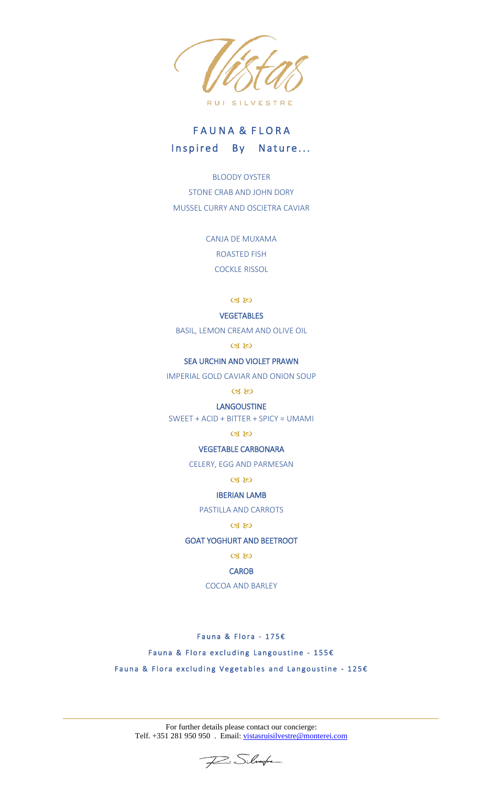

# FAUNA & FLORA Inspired By Nature...

BLOODY OYSTER STONE CRAB AND JOHN DORY MUSSEL CURRY AND OSCIETRA CAVIAR

> CANJA DE MUXAMA ROASTED FISH COCKLE RISSOL

> > $\alpha$

## **VEGETABLES**

BASIL, LEMON CREAM AND OLIVE OIL

 $C3$   $C3$ 

# SEA URCHIN AND VIOLET PRAWN

IMPERIAL GOLD CAVIAR AND ONION SOUP

# $CZ$

#### LANGOUSTINE

SWEET + ACID + BITTER + SPICY = UMAMI

# $CZ$

# VEGETABLE CARBONARA

CELERY, EGG AND PARMESAN

#### $CZ$

# IBERIAN LAMB

PASTILLA AND CARROTS

# $\alpha$

# GOAT YOGHURT AND BEETROOT

 $CZ$ 

#### **CAROB**

COCOA AND BARLEY

Fauna & Flora - 175 $\varepsilon$ 

## Fauna & Flora excluding Langoustine - 155 $\epsilon$

Fauna & Flora excluding Vegetables and Langoustine - 125 $\epsilon$ 

For further details please contact our concierge: Telf. +351 281 950 950 . Email: [vistasruisilvestre@monterei.com](mailto:vistasruisilvestre@monterei.com)

Fine School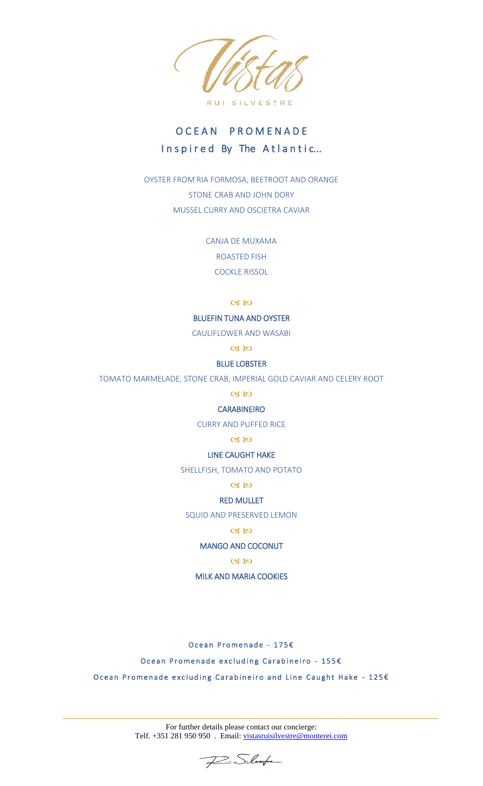

# O C E A N P R O M E N A D E Inspired By The Atlantic...

OYSTER FROM RIA FORMOSA, BEETROOT AND ORANGE STONE CRAB AND JOHN DORY MUSSEL CURRY AND OSCIETRA CAVIAR

> CANJA DE MUXAMA ROASTED FISH COCKLE RISSOL

> > $C3$   $C3$

# BLUEFIN TUNA AND OYSTER

CAULIFLOWER AND WASABI

 $C3$ 

# BLUE LOBSTER

TOMATO MARMELADE, STONE CRAB, IMPERIAL GOLD CAVIAR AND CELERY ROOT

 $\alpha$ 

# **CARABINEIRO**

CURRY AND PUFFED RICE

# $C38$

LINE CAUGHT HAKE

SHELLFISH, TOMATO AND POTATO

 $\alpha$   $\omega$ 

#### RED MULLET

SQUID AND PRESERVED LEMON

# $C3$

# MANGO AND COCONUT

# $\alpha$  to

MILK AND MARIA COOKIES

Ocean Promenade - 175€

Ocean Promenade excluding Carabineiro - 155€

Ocean Promenade excluding Carabineiro and Line Caught Hake - 125€

For further details please contact our concierge: Telf. +351 281 950 950 . Email: [vistasruisilvestre@monterei.com](mailto:vistasruisilvestre@monterei.com)

Fai Silverfre